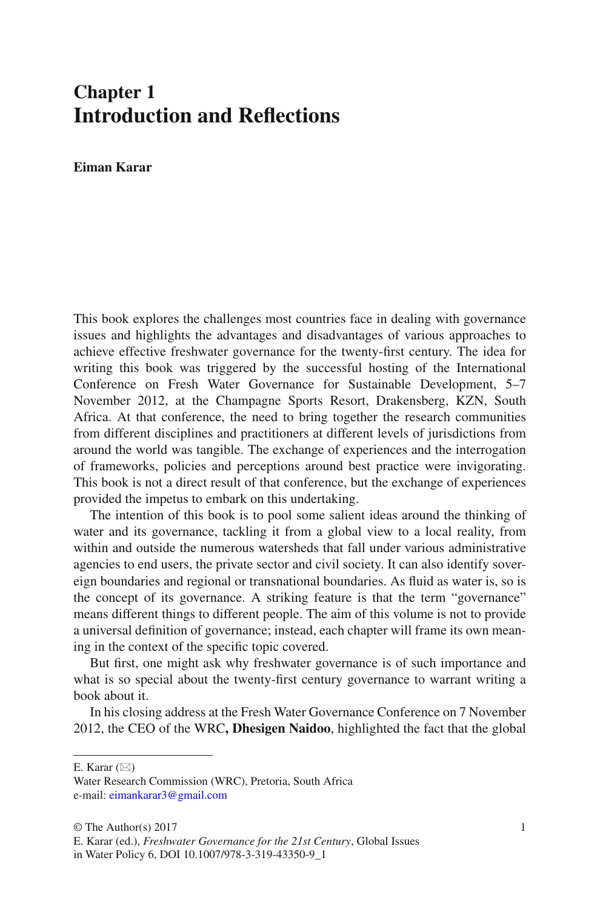## **Chapter 1 Introduction and Reflections**

 **Eiman Karar** 

 This book explores the challenges most countries face in dealing with governance issues and highlights the advantages and disadvantages of various approaches to achieve effective freshwater governance for the twenty-first century. The idea for writing this book was triggered by the successful hosting of the International Conference on Fresh Water Governance for Sustainable Development, 5–7 November 2012, at the Champagne Sports Resort, Drakensberg, KZN, South Africa. At that conference, the need to bring together the research communities from different disciplines and practitioners at different levels of jurisdictions from around the world was tangible. The exchange of experiences and the interrogation of frameworks, policies and perceptions around best practice were invigorating. This book is not a direct result of that conference, but the exchange of experiences provided the impetus to embark on this undertaking.

 The intention of this book is to pool some salient ideas around the thinking of water and its governance, tackling it from a global view to a local reality, from within and outside the numerous watersheds that fall under various administrative agencies to end users, the private sector and civil society. It can also identify sovereign boundaries and regional or transnational boundaries. As fluid as water is, so is the concept of its governance. A striking feature is that the term "governance" means different things to different people. The aim of this volume is not to provide a universal definition of governance; instead, each chapter will frame its own meaning in the context of the specific topic covered.

But first, one might ask why freshwater governance is of such importance and what is so special about the twenty-first century governance to warrant writing a book about it.

 In his closing address at the Fresh Water Governance Conference on 7 November 2012, the CEO of the WRC **, Dhesigen Naidoo** , highlighted the fact that the global

E. Karar  $(\boxtimes)$ 

Water Research Commission (WRC), Pretoria, South Africa e-mail: [eimankarar3@gmail.com](mailto:eimankarar3@gmail.com)

 $\odot$  The Author(s) 2017 1

E. Karar (ed.), *Freshwater Governance for the 21st Century*, Global Issues in Water Policy 6, DOI 10.1007/978-3-319-43350-9\_1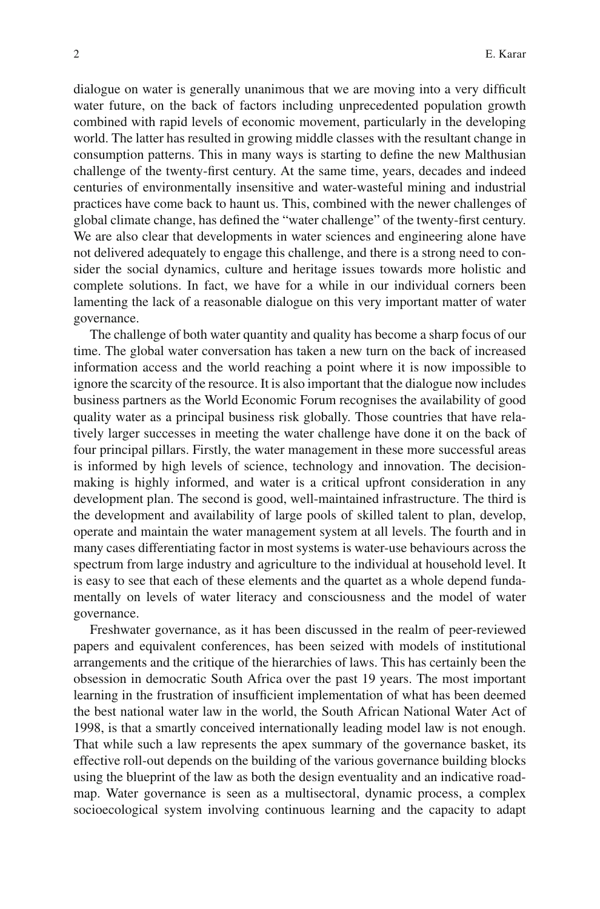dialogue on water is generally unanimous that we are moving into a very difficult water future, on the back of factors including unprecedented population growth combined with rapid levels of economic movement, particularly in the developing world. The latter has resulted in growing middle classes with the resultant change in consumption patterns. This in many ways is starting to define the new Malthusian challenge of the twenty-first century. At the same time, years, decades and indeed centuries of environmentally insensitive and water-wasteful mining and industrial practices have come back to haunt us. This, combined with the newer challenges of global climate change, has defined the "water challenge" of the twenty-first century. We are also clear that developments in water sciences and engineering alone have not delivered adequately to engage this challenge, and there is a strong need to consider the social dynamics, culture and heritage issues towards more holistic and complete solutions. In fact, we have for a while in our individual corners been lamenting the lack of a reasonable dialogue on this very important matter of water governance.

 The challenge of both water quantity and quality has become a sharp focus of our time. The global water conversation has taken a new turn on the back of increased information access and the world reaching a point where it is now impossible to ignore the scarcity of the resource. It is also important that the dialogue now includes business partners as the World Economic Forum recognises the availability of good quality water as a principal business risk globally. Those countries that have relatively larger successes in meeting the water challenge have done it on the back of four principal pillars. Firstly, the water management in these more successful areas is informed by high levels of science, technology and innovation. The decisionmaking is highly informed, and water is a critical upfront consideration in any development plan. The second is good, well-maintained infrastructure. The third is the development and availability of large pools of skilled talent to plan, develop, operate and maintain the water management system at all levels. The fourth and in many cases differentiating factor in most systems is water-use behaviours across the spectrum from large industry and agriculture to the individual at household level. It is easy to see that each of these elements and the quartet as a whole depend fundamentally on levels of water literacy and consciousness and the model of water governance.

 Freshwater governance, as it has been discussed in the realm of peer-reviewed papers and equivalent conferences, has been seized with models of institutional arrangements and the critique of the hierarchies of laws. This has certainly been the obsession in democratic South Africa over the past 19 years. The most important learning in the frustration of insufficient implementation of what has been deemed the best national water law in the world, the South African National Water Act of 1998, is that a smartly conceived internationally leading model law is not enough. That while such a law represents the apex summary of the governance basket, its effective roll-out depends on the building of the various governance building blocks using the blueprint of the law as both the design eventuality and an indicative roadmap. Water governance is seen as a multisectoral, dynamic process, a complex socioecological system involving continuous learning and the capacity to adapt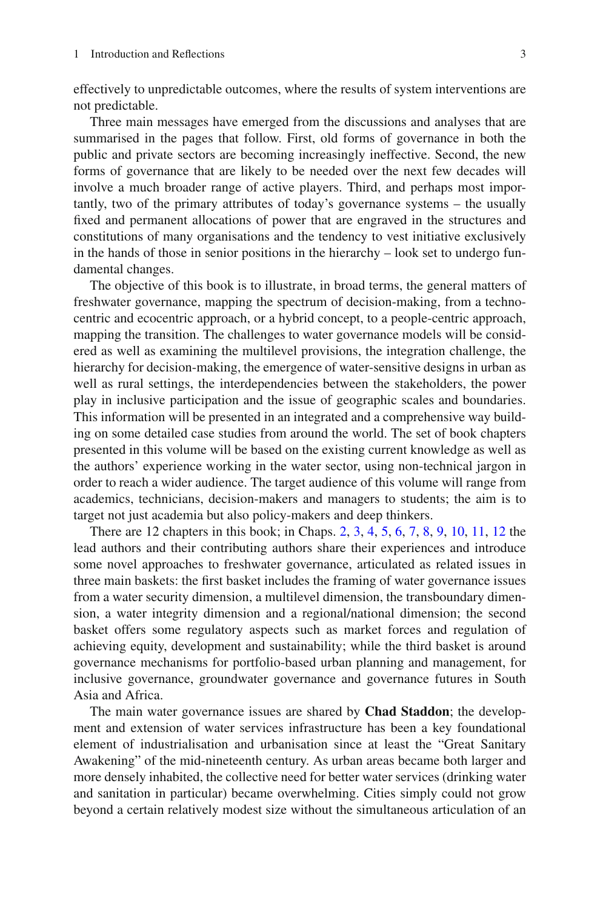effectively to unpredictable outcomes, where the results of system interventions are not predictable.

 Three main messages have emerged from the discussions and analyses that are summarised in the pages that follow. First, old forms of governance in both the public and private sectors are becoming increasingly ineffective. Second, the new forms of governance that are likely to be needed over the next few decades will involve a much broader range of active players. Third, and perhaps most importantly, two of the primary attributes of today's governance systems – the usually fixed and permanent allocations of power that are engraved in the structures and constitutions of many organisations and the tendency to vest initiative exclusively in the hands of those in senior positions in the hierarchy – look set to undergo fundamental changes.

 The objective of this book is to illustrate, in broad terms, the general matters of freshwater governance, mapping the spectrum of decision-making, from a technocentric and ecocentric approach, or a hybrid concept, to a people-centric approach, mapping the transition. The challenges to water governance models will be considered as well as examining the multilevel provisions, the integration challenge, the hierarchy for decision-making, the emergence of water-sensitive designs in urban as well as rural settings, the interdependencies between the stakeholders, the power play in inclusive participation and the issue of geographic scales and boundaries. This information will be presented in an integrated and a comprehensive way building on some detailed case studies from around the world. The set of book chapters presented in this volume will be based on the existing current knowledge as well as the authors' experience working in the water sector, using non-technical jargon in order to reach a wider audience. The target audience of this volume will range from academics, technicians, decision-makers and managers to students; the aim is to target not just academia but also policy-makers and deep thinkers.

 There are 12 chapters in this book; in Chaps. [2,](http://dx.doi.org/10.1007/978-3-319-43350-9_2) [3](http://dx.doi.org/10.1007/978-3-319-43350-9_3), [4](http://dx.doi.org/10.1007/978-3-319-43350-9_4), [5](http://dx.doi.org/10.1007/978-3-319-43350-9_5), [6,](http://dx.doi.org/10.1007/978-3-319-43350-9_6) [7,](http://dx.doi.org/10.1007/978-3-319-43350-9_7) [8,](http://dx.doi.org/10.1007/978-3-319-43350-9_8) [9](http://dx.doi.org/10.1007/978-3-319-43350-9_9), [10](http://dx.doi.org/10.1007/978-3-319-43350-9_10), [11](http://dx.doi.org/10.1007/978-3-319-43350-9_11), [12](http://dx.doi.org/10.1007/978-3-319-43350-9_12) the lead authors and their contributing authors share their experiences and introduce some novel approaches to freshwater governance, articulated as related issues in three main baskets: the first basket includes the framing of water governance issues from a water security dimension, a multilevel dimension, the transboundary dimension, a water integrity dimension and a regional/national dimension; the second basket offers some regulatory aspects such as market forces and regulation of achieving equity, development and sustainability; while the third basket is around governance mechanisms for portfolio-based urban planning and management, for inclusive governance, groundwater governance and governance futures in South Asia and Africa.

The main water governance issues are shared by **Chad Staddon**; the development and extension of water services infrastructure has been a key foundational element of industrialisation and urbanisation since at least the "Great Sanitary Awakening" of the mid-nineteenth century. As urban areas became both larger and more densely inhabited, the collective need for better water services (drinking water and sanitation in particular) became overwhelming. Cities simply could not grow beyond a certain relatively modest size without the simultaneous articulation of an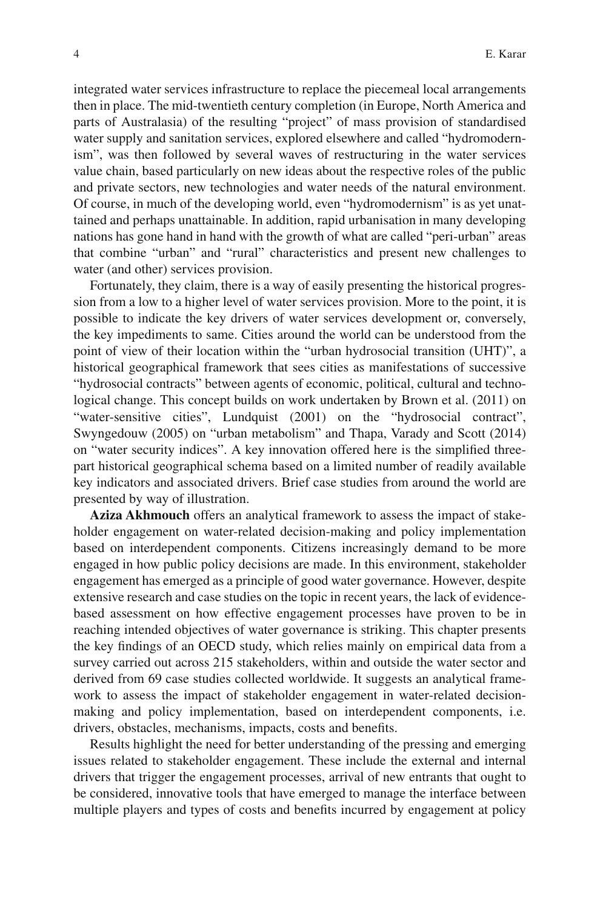integrated water services infrastructure to replace the piecemeal local arrangements then in place. The mid-twentieth century completion (in Europe, North America and parts of Australasia) of the resulting "project" of mass provision of standardised water supply and sanitation services, explored elsewhere and called "hydromodernism", was then followed by several waves of restructuring in the water services value chain, based particularly on new ideas about the respective roles of the public and private sectors, new technologies and water needs of the natural environment. Of course, in much of the developing world, even "hydromodernism" is as yet unattained and perhaps unattainable. In addition, rapid urbanisation in many developing nations has gone hand in hand with the growth of what are called "peri-urban" areas that combine "urban" and "rural" characteristics and present new challenges to water (and other) services provision.

 Fortunately, they claim, there is a way of easily presenting the historical progression from a low to a higher level of water services provision. More to the point, it is possible to indicate the key drivers of water services development or, conversely, the key impediments to same. Cities around the world can be understood from the point of view of their location within the "urban hydrosocial transition (UHT)", a historical geographical framework that sees cities as manifestations of successive "hydrosocial contracts" between agents of economic, political, cultural and technological change. This concept builds on work undertaken by Brown et al. (2011) on "water-sensitive cities", Lundquist (2001) on the "hydrosocial contract", Swyngedouw (2005) on "urban metabolism" and Thapa, Varady and Scott (2014) on "water security indices". A key innovation offered here is the simplified threepart historical geographical schema based on a limited number of readily available key indicators and associated drivers. Brief case studies from around the world are presented by way of illustration.

**Aziza Akhmouch** offers an analytical framework to assess the impact of stakeholder engagement on water-related decision-making and policy implementation based on interdependent components. Citizens increasingly demand to be more engaged in how public policy decisions are made. In this environment, stakeholder engagement has emerged as a principle of good water governance. However, despite extensive research and case studies on the topic in recent years, the lack of evidencebased assessment on how effective engagement processes have proven to be in reaching intended objectives of water governance is striking. This chapter presents the key findings of an OECD study, which relies mainly on empirical data from a survey carried out across 215 stakeholders, within and outside the water sector and derived from 69 case studies collected worldwide. It suggests an analytical framework to assess the impact of stakeholder engagement in water-related decisionmaking and policy implementation, based on interdependent components, i.e. drivers, obstacles, mechanisms, impacts, costs and benefits.

 Results highlight the need for better understanding of the pressing and emerging issues related to stakeholder engagement. These include the external and internal drivers that trigger the engagement processes, arrival of new entrants that ought to be considered, innovative tools that have emerged to manage the interface between multiple players and types of costs and benefits incurred by engagement at policy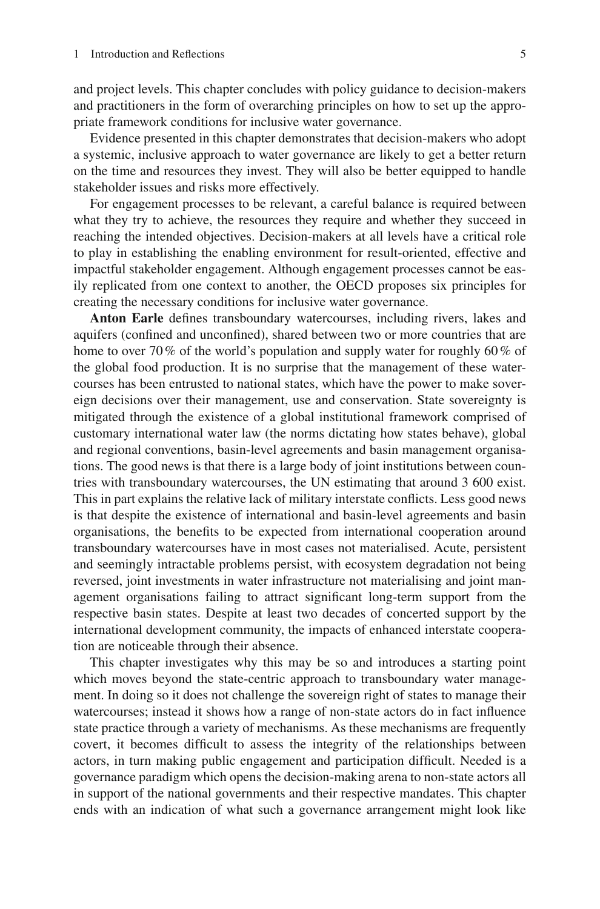and project levels. This chapter concludes with policy guidance to decision-makers and practitioners in the form of overarching principles on how to set up the appropriate framework conditions for inclusive water governance.

 Evidence presented in this chapter demonstrates that decision-makers who adopt a systemic, inclusive approach to water governance are likely to get a better return on the time and resources they invest. They will also be better equipped to handle stakeholder issues and risks more effectively.

 For engagement processes to be relevant, a careful balance is required between what they try to achieve, the resources they require and whether they succeed in reaching the intended objectives. Decision-makers at all levels have a critical role to play in establishing the enabling environment for result-oriented, effective and impactful stakeholder engagement. Although engagement processes cannot be easily replicated from one context to another, the OECD proposes six principles for creating the necessary conditions for inclusive water governance.

Anton Earle defines transboundary watercourses, including rivers, lakes and aquifers (confined and unconfined), shared between two or more countries that are home to over 70 % of the world's population and supply water for roughly 60 % of the global food production. It is no surprise that the management of these watercourses has been entrusted to national states, which have the power to make sovereign decisions over their management, use and conservation. State sovereignty is mitigated through the existence of a global institutional framework comprised of customary international water law (the norms dictating how states behave), global and regional conventions, basin-level agreements and basin management organisations. The good news is that there is a large body of joint institutions between countries with transboundary watercourses, the UN estimating that around 3 600 exist. This in part explains the relative lack of military interstate conflicts. Less good news is that despite the existence of international and basin-level agreements and basin organisations, the benefits to be expected from international cooperation around transboundary watercourses have in most cases not materialised. Acute, persistent and seemingly intractable problems persist, with ecosystem degradation not being reversed, joint investments in water infrastructure not materialising and joint management organisations failing to attract significant long-term support from the respective basin states. Despite at least two decades of concerted support by the international development community, the impacts of enhanced interstate cooperation are noticeable through their absence.

 This chapter investigates why this may be so and introduces a starting point which moves beyond the state-centric approach to transboundary water management. In doing so it does not challenge the sovereign right of states to manage their watercourses; instead it shows how a range of non-state actors do in fact influence state practice through a variety of mechanisms. As these mechanisms are frequently covert, it becomes difficult to assess the integrity of the relationships between actors, in turn making public engagement and participation difficult. Needed is a governance paradigm which opens the decision-making arena to non-state actors all in support of the national governments and their respective mandates. This chapter ends with an indication of what such a governance arrangement might look like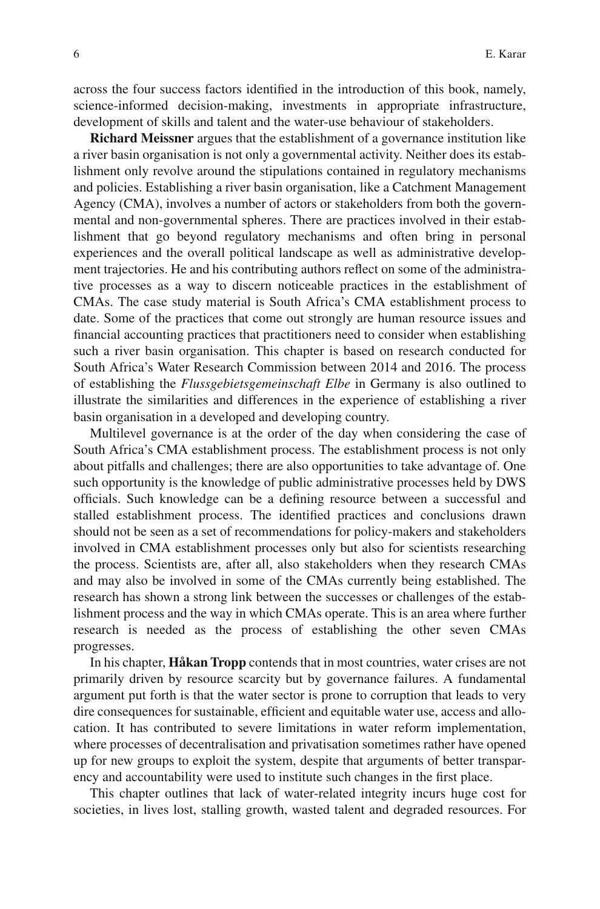across the four success factors identified in the introduction of this book, namely, science-informed decision-making, investments in appropriate infrastructure, development of skills and talent and the water-use behaviour of stakeholders.

**Richard Meissner** argues that the establishment of a governance institution like a river basin organisation is not only a governmental activity. Neither does its establishment only revolve around the stipulations contained in regulatory mechanisms and policies. Establishing a river basin organisation, like a Catchment Management Agency (CMA), involves a number of actors or stakeholders from both the governmental and non-governmental spheres. There are practices involved in their establishment that go beyond regulatory mechanisms and often bring in personal experiences and the overall political landscape as well as administrative development trajectories. He and his contributing authors reflect on some of the administrative processes as a way to discern noticeable practices in the establishment of CMAs. The case study material is South Africa's CMA establishment process to date. Some of the practices that come out strongly are human resource issues and financial accounting practices that practitioners need to consider when establishing such a river basin organisation. This chapter is based on research conducted for South Africa's Water Research Commission between 2014 and 2016. The process of establishing the *Flussgebietsgemeinschaft Elbe* in Germany is also outlined to illustrate the similarities and differences in the experience of establishing a river basin organisation in a developed and developing country.

 Multilevel governance is at the order of the day when considering the case of South Africa's CMA establishment process. The establishment process is not only about pitfalls and challenges; there are also opportunities to take advantage of. One such opportunity is the knowledge of public administrative processes held by DWS officials. Such knowledge can be a defining resource between a successful and stalled establishment process. The identified practices and conclusions drawn should not be seen as a set of recommendations for policy-makers and stakeholders involved in CMA establishment processes only but also for scientists researching the process. Scientists are, after all, also stakeholders when they research CMAs and may also be involved in some of the CMAs currently being established. The research has shown a strong link between the successes or challenges of the establishment process and the way in which CMAs operate. This is an area where further research is needed as the process of establishing the other seven CMAs progresses.

 In his chapter, **Håkan Tropp** contends that in most countries, water crises are not primarily driven by resource scarcity but by governance failures. A fundamental argument put forth is that the water sector is prone to corruption that leads to very dire consequences for sustainable, efficient and equitable water use, access and allocation. It has contributed to severe limitations in water reform implementation, where processes of decentralisation and privatisation sometimes rather have opened up for new groups to exploit the system, despite that arguments of better transparency and accountability were used to institute such changes in the first place.

 This chapter outlines that lack of water-related integrity incurs huge cost for societies, in lives lost, stalling growth, wasted talent and degraded resources. For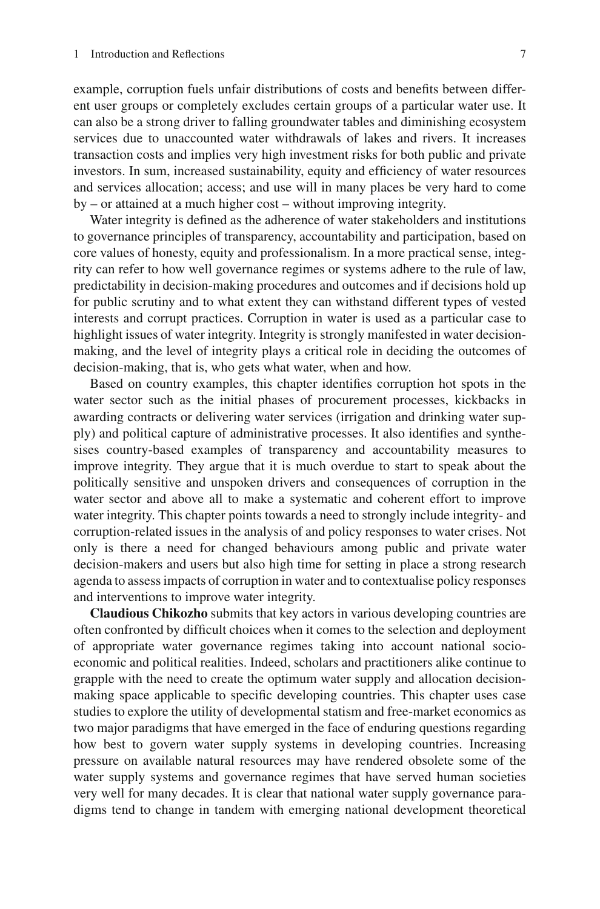example, corruption fuels unfair distributions of costs and benefits between different user groups or completely excludes certain groups of a particular water use. It can also be a strong driver to falling groundwater tables and diminishing ecosystem services due to unaccounted water withdrawals of lakes and rivers. It increases transaction costs and implies very high investment risks for both public and private investors. In sum, increased sustainability, equity and efficiency of water resources and services allocation; access; and use will in many places be very hard to come by – or attained at a much higher cost – without improving integrity.

Water integrity is defined as the adherence of water stakeholders and institutions to governance principles of transparency, accountability and participation, based on core values of honesty, equity and professionalism. In a more practical sense, integrity can refer to how well governance regimes or systems adhere to the rule of law, predictability in decision-making procedures and outcomes and if decisions hold up for public scrutiny and to what extent they can withstand different types of vested interests and corrupt practices. Corruption in water is used as a particular case to highlight issues of water integrity. Integrity is strongly manifested in water decisionmaking, and the level of integrity plays a critical role in deciding the outcomes of decision-making, that is, who gets what water, when and how.

Based on country examples, this chapter identifies corruption hot spots in the water sector such as the initial phases of procurement processes, kickbacks in awarding contracts or delivering water services (irrigation and drinking water supply) and political capture of administrative processes. It also identifies and synthesises country-based examples of transparency and accountability measures to improve integrity. They argue that it is much overdue to start to speak about the politically sensitive and unspoken drivers and consequences of corruption in the water sector and above all to make a systematic and coherent effort to improve water integrity. This chapter points towards a need to strongly include integrity- and corruption-related issues in the analysis of and policy responses to water crises. Not only is there a need for changed behaviours among public and private water decision- makers and users but also high time for setting in place a strong research agenda to assess impacts of corruption in water and to contextualise policy responses and interventions to improve water integrity.

**Claudious Chikozho** submits that key actors in various developing countries are often confronted by difficult choices when it comes to the selection and deployment of appropriate water governance regimes taking into account national socioeconomic and political realities. Indeed, scholars and practitioners alike continue to grapple with the need to create the optimum water supply and allocation decisionmaking space applicable to specific developing countries. This chapter uses case studies to explore the utility of developmental statism and free-market economics as two major paradigms that have emerged in the face of enduring questions regarding how best to govern water supply systems in developing countries. Increasing pressure on available natural resources may have rendered obsolete some of the water supply systems and governance regimes that have served human societies very well for many decades. It is clear that national water supply governance paradigms tend to change in tandem with emerging national development theoretical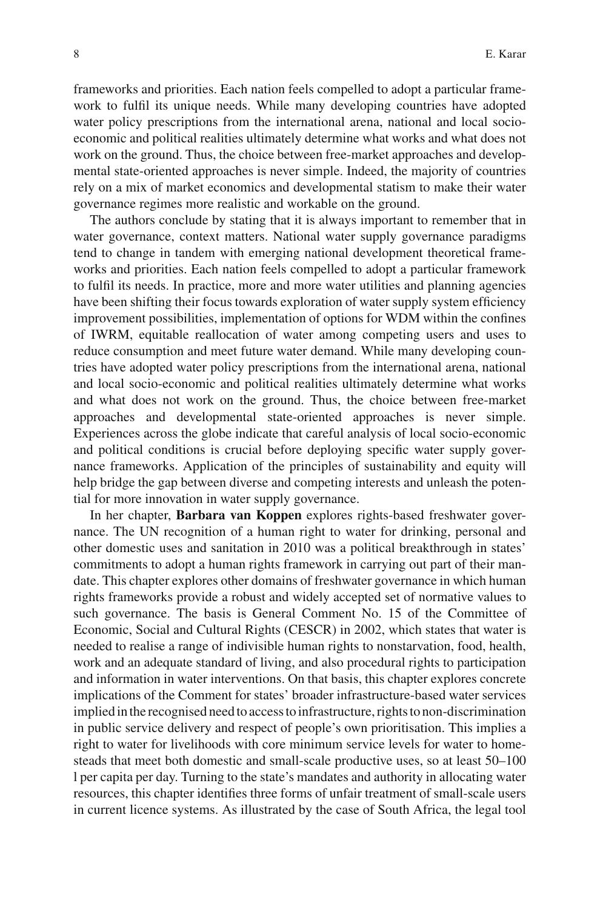frameworks and priorities. Each nation feels compelled to adopt a particular framework to fulfil its unique needs. While many developing countries have adopted water policy prescriptions from the international arena, national and local socioeconomic and political realities ultimately determine what works and what does not work on the ground. Thus, the choice between free-market approaches and developmental state- oriented approaches is never simple. Indeed, the majority of countries rely on a mix of market economics and developmental statism to make their water governance regimes more realistic and workable on the ground.

 The authors conclude by stating that it is always important to remember that in water governance, context matters. National water supply governance paradigms tend to change in tandem with emerging national development theoretical frameworks and priorities. Each nation feels compelled to adopt a particular framework to fulfil its needs. In practice, more and more water utilities and planning agencies have been shifting their focus towards exploration of water supply system efficiency improvement possibilities, implementation of options for WDM within the confines of IWRM, equitable reallocation of water among competing users and uses to reduce consumption and meet future water demand. While many developing countries have adopted water policy prescriptions from the international arena, national and local socio-economic and political realities ultimately determine what works and what does not work on the ground. Thus, the choice between free-market approaches and developmental state-oriented approaches is never simple. Experiences across the globe indicate that careful analysis of local socio-economic and political conditions is crucial before deploying specific water supply governance frameworks. Application of the principles of sustainability and equity will help bridge the gap between diverse and competing interests and unleash the potential for more innovation in water supply governance.

 In her chapter, **Barbara van Koppen** explores rights-based freshwater governance. The UN recognition of a human right to water for drinking, personal and other domestic uses and sanitation in 2010 was a political breakthrough in states' commitments to adopt a human rights framework in carrying out part of their mandate. This chapter explores other domains of freshwater governance in which human rights frameworks provide a robust and widely accepted set of normative values to such governance. The basis is General Comment No. 15 of the Committee of Economic, Social and Cultural Rights (CESCR) in 2002, which states that water is needed to realise a range of indivisible human rights to nonstarvation, food, health, work and an adequate standard of living, and also procedural rights to participation and information in water interventions. On that basis, this chapter explores concrete implications of the Comment for states' broader infrastructure-based water services implied in the recognised need to access to infrastructure, rights to non- discrimination in public service delivery and respect of people's own prioritisation. This implies a right to water for livelihoods with core minimum service levels for water to homesteads that meet both domestic and small-scale productive uses, so at least 50–100 l per capita per day. Turning to the state's mandates and authority in allocating water resources, this chapter identifies three forms of unfair treatment of small-scale users in current licence systems. As illustrated by the case of South Africa, the legal tool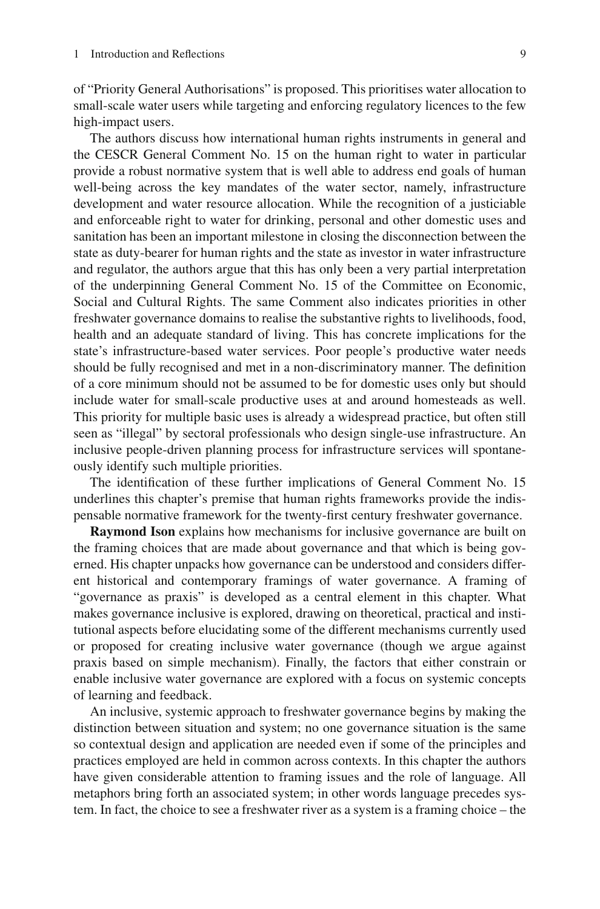of "Priority General Authorisations" is proposed. This prioritises water allocation to small-scale water users while targeting and enforcing regulatory licences to the few high-impact users.

 The authors discuss how international human rights instruments in general and the CESCR General Comment No. 15 on the human right to water in particular provide a robust normative system that is well able to address end goals of human well-being across the key mandates of the water sector, namely, infrastructure development and water resource allocation. While the recognition of a justiciable and enforceable right to water for drinking, personal and other domestic uses and sanitation has been an important milestone in closing the disconnection between the state as duty-bearer for human rights and the state as investor in water infrastructure and regulator, the authors argue that this has only been a very partial interpretation of the underpinning General Comment No. 15 of the Committee on Economic, Social and Cultural Rights. The same Comment also indicates priorities in other freshwater governance domains to realise the substantive rights to livelihoods, food, health and an adequate standard of living. This has concrete implications for the state's infrastructure-based water services. Poor people's productive water needs should be fully recognised and met in a non-discriminatory manner. The definition of a core minimum should not be assumed to be for domestic uses only but should include water for small-scale productive uses at and around homesteads as well. This priority for multiple basic uses is already a widespread practice, but often still seen as "illegal" by sectoral professionals who design single-use infrastructure. An inclusive people-driven planning process for infrastructure services will spontaneously identify such multiple priorities.

The identification of these further implications of General Comment No. 15 underlines this chapter's premise that human rights frameworks provide the indispensable normative framework for the twenty-first century freshwater governance.

**Raymond Ison** explains how mechanisms for inclusive governance are built on the framing choices that are made about governance and that which is being governed. His chapter unpacks how governance can be understood and considers different historical and contemporary framings of water governance. A framing of "governance as praxis" is developed as a central element in this chapter. What makes governance inclusive is explored, drawing on theoretical, practical and institutional aspects before elucidating some of the different mechanisms currently used or proposed for creating inclusive water governance (though we argue against praxis based on simple mechanism). Finally, the factors that either constrain or enable inclusive water governance are explored with a focus on systemic concepts of learning and feedback.

 An inclusive, systemic approach to freshwater governance begins by making the distinction between situation and system; no one governance situation is the same so contextual design and application are needed even if some of the principles and practices employed are held in common across contexts. In this chapter the authors have given considerable attention to framing issues and the role of language. All metaphors bring forth an associated system; in other words language precedes system. In fact, the choice to see a freshwater river as a system is a framing choice – the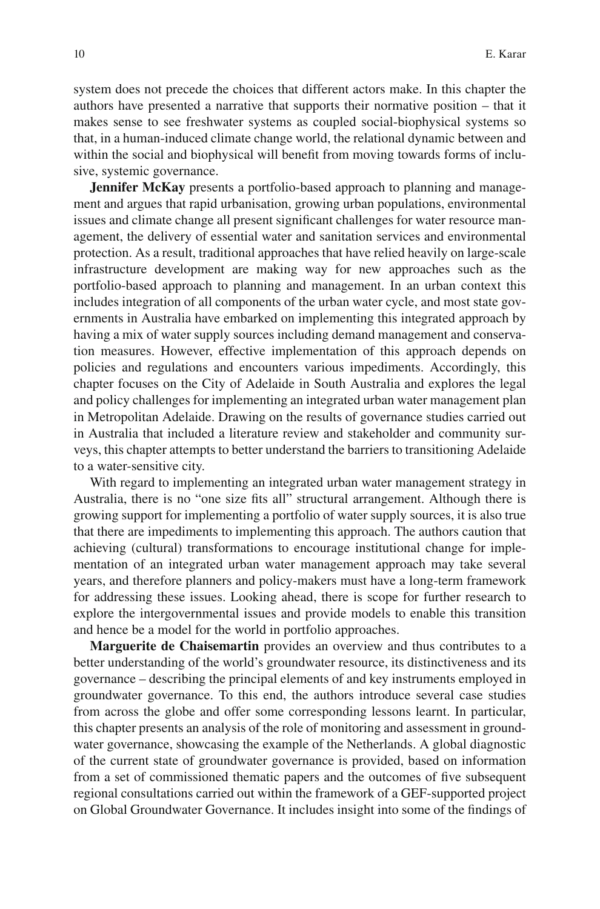system does not precede the choices that different actors make. In this chapter the authors have presented a narrative that supports their normative position – that it makes sense to see freshwater systems as coupled social-biophysical systems so that, in a human-induced climate change world, the relational dynamic between and within the social and biophysical will benefit from moving towards forms of inclusive, systemic governance.

**Jennifer McKay** presents a portfolio-based approach to planning and management and argues that rapid urbanisation, growing urban populations, environmental issues and climate change all present significant challenges for water resource management, the delivery of essential water and sanitation services and environmental protection. As a result, traditional approaches that have relied heavily on large-scale infrastructure development are making way for new approaches such as the portfolio- based approach to planning and management. In an urban context this includes integration of all components of the urban water cycle, and most state governments in Australia have embarked on implementing this integrated approach by having a mix of water supply sources including demand management and conservation measures. However, effective implementation of this approach depends on policies and regulations and encounters various impediments. Accordingly, this chapter focuses on the City of Adelaide in South Australia and explores the legal and policy challenges for implementing an integrated urban water management plan in Metropolitan Adelaide. Drawing on the results of governance studies carried out in Australia that included a literature review and stakeholder and community surveys, this chapter attempts to better understand the barriers to transitioning Adelaide to a water-sensitive city.

 With regard to implementing an integrated urban water management strategy in Australia, there is no "one size fits all" structural arrangement. Although there is growing support for implementing a portfolio of water supply sources, it is also true that there are impediments to implementing this approach. The authors caution that achieving (cultural) transformations to encourage institutional change for implementation of an integrated urban water management approach may take several years, and therefore planners and policy-makers must have a long-term framework for addressing these issues. Looking ahead, there is scope for further research to explore the intergovernmental issues and provide models to enable this transition and hence be a model for the world in portfolio approaches.

**Marguerite de Chaisemartin** provides an overview and thus contributes to a better understanding of the world's groundwater resource, its distinctiveness and its governance – describing the principal elements of and key instruments employed in groundwater governance. To this end, the authors introduce several case studies from across the globe and offer some corresponding lessons learnt. In particular, this chapter presents an analysis of the role of monitoring and assessment in groundwater governance, showcasing the example of the Netherlands. A global diagnostic of the current state of groundwater governance is provided, based on information from a set of commissioned thematic papers and the outcomes of five subsequent regional consultations carried out within the framework of a GEF-supported project on Global Groundwater Governance. It includes insight into some of the findings of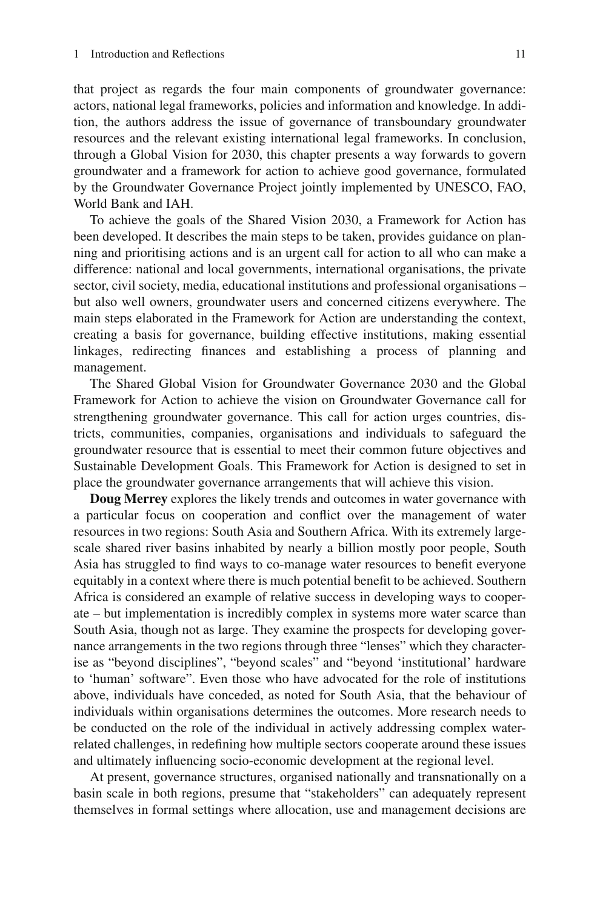that project as regards the four main components of groundwater governance: actors, national legal frameworks, policies and information and knowledge. In addition, the authors address the issue of governance of transboundary groundwater resources and the relevant existing international legal frameworks. In conclusion, through a Global Vision for 2030, this chapter presents a way forwards to govern groundwater and a framework for action to achieve good governance, formulated by the Groundwater Governance Project jointly implemented by UNESCO, FAO, World Bank and IAH.

 To achieve the goals of the Shared Vision 2030, a Framework for Action has been developed. It describes the main steps to be taken, provides guidance on planning and prioritising actions and is an urgent call for action to all who can make a difference: national and local governments, international organisations, the private sector, civil society, media, educational institutions and professional organisations – but also well owners, groundwater users and concerned citizens everywhere. The main steps elaborated in the Framework for Action are understanding the context, creating a basis for governance, building effective institutions, making essential linkages, redirecting finances and establishing a process of planning and management.

 The Shared Global Vision for Groundwater Governance 2030 and the Global Framework for Action to achieve the vision on Groundwater Governance call for strengthening groundwater governance. This call for action urges countries, districts, communities, companies, organisations and individuals to safeguard the groundwater resource that is essential to meet their common future objectives and Sustainable Development Goals. This Framework for Action is designed to set in place the groundwater governance arrangements that will achieve this vision.

**Doug Merrey** explores the likely trends and outcomes in water governance with a particular focus on cooperation and conflict over the management of water resources in two regions: South Asia and Southern Africa. With its extremely largescale shared river basins inhabited by nearly a billion mostly poor people, South Asia has struggled to find ways to co-manage water resources to benefit everyone equitably in a context where there is much potential benefit to be achieved. Southern Africa is considered an example of relative success in developing ways to cooperate – but implementation is incredibly complex in systems more water scarce than South Asia, though not as large. They examine the prospects for developing governance arrangements in the two regions through three "lenses" which they characterise as "beyond disciplines", "beyond scales" and "beyond 'institutional' hardware to 'human' software". Even those who have advocated for the role of institutions above, individuals have conceded, as noted for South Asia, that the behaviour of individuals within organisations determines the outcomes. More research needs to be conducted on the role of the individual in actively addressing complex waterrelated challenges, in redefining how multiple sectors cooperate around these issues and ultimately influencing socio-economic development at the regional level.

 At present, governance structures, organised nationally and transnationally on a basin scale in both regions, presume that "stakeholders" can adequately represent themselves in formal settings where allocation, use and management decisions are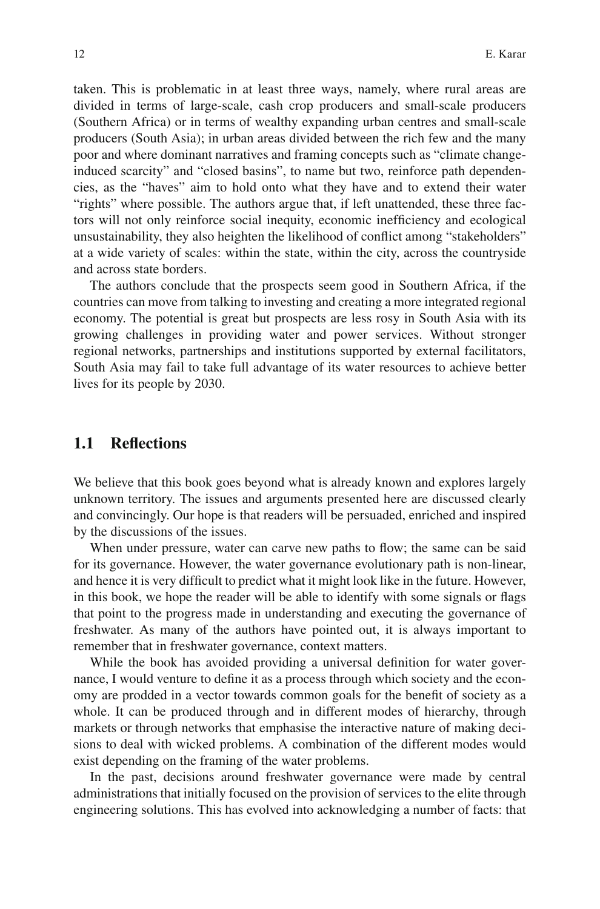taken. This is problematic in at least three ways, namely, where rural areas are divided in terms of large-scale, cash crop producers and small-scale producers (Southern Africa) or in terms of wealthy expanding urban centres and small-scale producers (South Asia); in urban areas divided between the rich few and the many poor and where dominant narratives and framing concepts such as "climate changeinduced scarcity" and "closed basins", to name but two, reinforce path dependencies, as the "haves" aim to hold onto what they have and to extend their water "rights" where possible. The authors argue that, if left unattended, these three factors will not only reinforce social inequity, economic inefficiency and ecological unsustainability, they also heighten the likelihood of conflict among "stakeholders" at a wide variety of scales: within the state, within the city, across the countryside and across state borders.

 The authors conclude that the prospects seem good in Southern Africa, if the countries can move from talking to investing and creating a more integrated regional economy. The potential is great but prospects are less rosy in South Asia with its growing challenges in providing water and power services. Without stronger regional networks, partnerships and institutions supported by external facilitators, South Asia may fail to take full advantage of its water resources to achieve better lives for its people by 2030.

## 1.1 Reflections

We believe that this book goes beyond what is already known and explores largely unknown territory. The issues and arguments presented here are discussed clearly and convincingly. Our hope is that readers will be persuaded, enriched and inspired by the discussions of the issues.

When under pressure, water can carve new paths to flow; the same can be said for its governance. However, the water governance evolutionary path is non-linear, and hence it is very difficult to predict what it might look like in the future. However, in this book, we hope the reader will be able to identify with some signals or flags that point to the progress made in understanding and executing the governance of freshwater. As many of the authors have pointed out, it is always important to remember that in freshwater governance, context matters.

While the book has avoided providing a universal definition for water governance, I would venture to define it as a process through which society and the economy are prodded in a vector towards common goals for the benefit of society as a whole. It can be produced through and in different modes of hierarchy, through markets or through networks that emphasise the interactive nature of making decisions to deal with wicked problems. A combination of the different modes would exist depending on the framing of the water problems.

 In the past, decisions around freshwater governance were made by central administrations that initially focused on the provision of services to the elite through engineering solutions. This has evolved into acknowledging a number of facts: that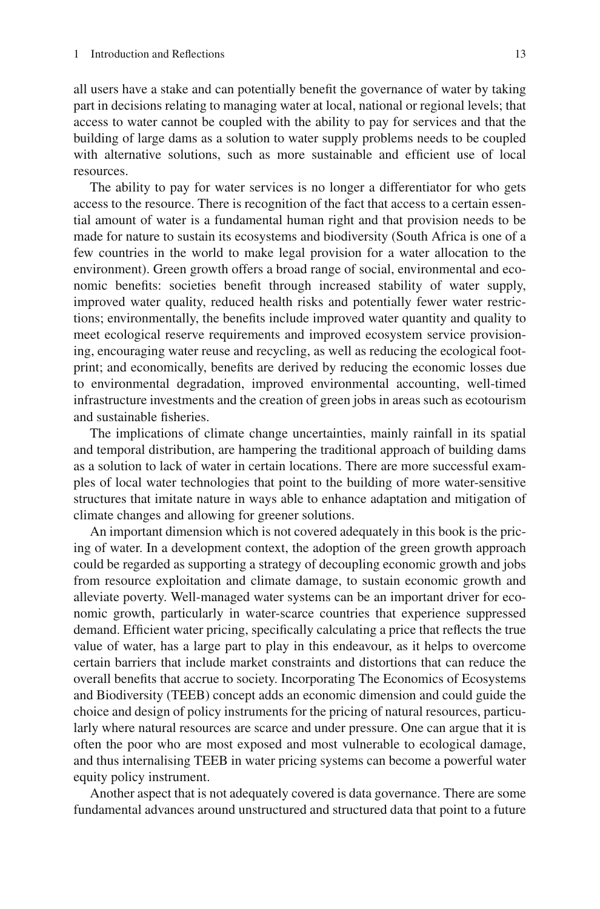all users have a stake and can potentially benefit the governance of water by taking part in decisions relating to managing water at local, national or regional levels; that access to water cannot be coupled with the ability to pay for services and that the building of large dams as a solution to water supply problems needs to be coupled with alternative solutions, such as more sustainable and efficient use of local resources.

 The ability to pay for water services is no longer a differentiator for who gets access to the resource. There is recognition of the fact that access to a certain essential amount of water is a fundamental human right and that provision needs to be made for nature to sustain its ecosystems and biodiversity (South Africa is one of a few countries in the world to make legal provision for a water allocation to the environment). Green growth offers a broad range of social, environmental and economic benefits: societies benefit through increased stability of water supply, improved water quality, reduced health risks and potentially fewer water restrictions; environmentally, the benefits include improved water quantity and quality to meet ecological reserve requirements and improved ecosystem service provisioning, encouraging water reuse and recycling, as well as reducing the ecological footprint; and economically, benefits are derived by reducing the economic losses due to environmental degradation, improved environmental accounting, well-timed infrastructure investments and the creation of green jobs in areas such as ecotourism and sustainable fisheries.

 The implications of climate change uncertainties, mainly rainfall in its spatial and temporal distribution, are hampering the traditional approach of building dams as a solution to lack of water in certain locations. There are more successful examples of local water technologies that point to the building of more water-sensitive structures that imitate nature in ways able to enhance adaptation and mitigation of climate changes and allowing for greener solutions.

 An important dimension which is not covered adequately in this book is the pricing of water. In a development context, the adoption of the green growth approach could be regarded as supporting a strategy of decoupling economic growth and jobs from resource exploitation and climate damage, to sustain economic growth and alleviate poverty. Well-managed water systems can be an important driver for economic growth, particularly in water-scarce countries that experience suppressed demand. Efficient water pricing, specifically calculating a price that reflects the true value of water, has a large part to play in this endeavour, as it helps to overcome certain barriers that include market constraints and distortions that can reduce the overall benefits that accrue to society. Incorporating The Economics of Ecosystems and Biodiversity (TEEB) concept adds an economic dimension and could guide the choice and design of policy instruments for the pricing of natural resources, particularly where natural resources are scarce and under pressure. One can argue that it is often the poor who are most exposed and most vulnerable to ecological damage, and thus internalising TEEB in water pricing systems can become a powerful water equity policy instrument.

 Another aspect that is not adequately covered is data governance. There are some fundamental advances around unstructured and structured data that point to a future